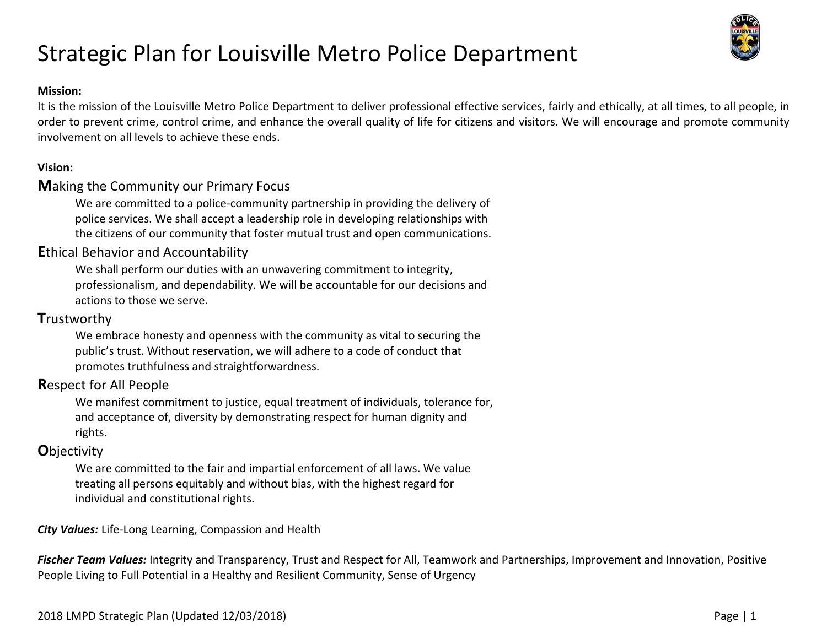### **Mission:**

It is the mission of the Louisville Metro Police Department to deliver professional effective services, fairly and ethically, at all times, to all people, in order to prevent crime, control crime, and enhance the overall quality of life for citizens and visitors. We will encourage and promote community involvement on all levels to achieve these ends.

### **Vision:**

### **M**aking the Community our Primary Focus

We are committed to a police-community partnership in providing the delivery of police services. We shall accept a leadership role in developing relationships with the citizens of our community that foster mutual trust and open communications.

### **E**thical Behavior and Accountability

We shall perform our duties with an unwavering commitment to integrity, professionalism, and dependability. We will be accountable for our decisions and actions to those we serve.

### **T**rustworthy

We embrace honesty and openness with the community as vital to securing the public's trust. Without reservation, we will adhere to a code of conduct that promotes truthfulness and straightforwardness.

### **R**espect for All People

We manifest commitment to justice, equal treatment of individuals, tolerance for, and acceptance of, diversity by demonstrating respect for human dignity and rights.

### **O**bjectivity

We are committed to the fair and impartial enforcement of all laws. We value treating all persons equitably and without bias, with the highest regard for individual and constitutional rights.

*City Values:* Life‐Long Learning, Compassion and Health

*Fischer Team Values:* Integrity and Transparency, Trust and Respect for All, Teamwork and Partnerships, Improvement and Innovation, Positive People Living to Full Potential in a Healthy and Resilient Community, Sense of Urgency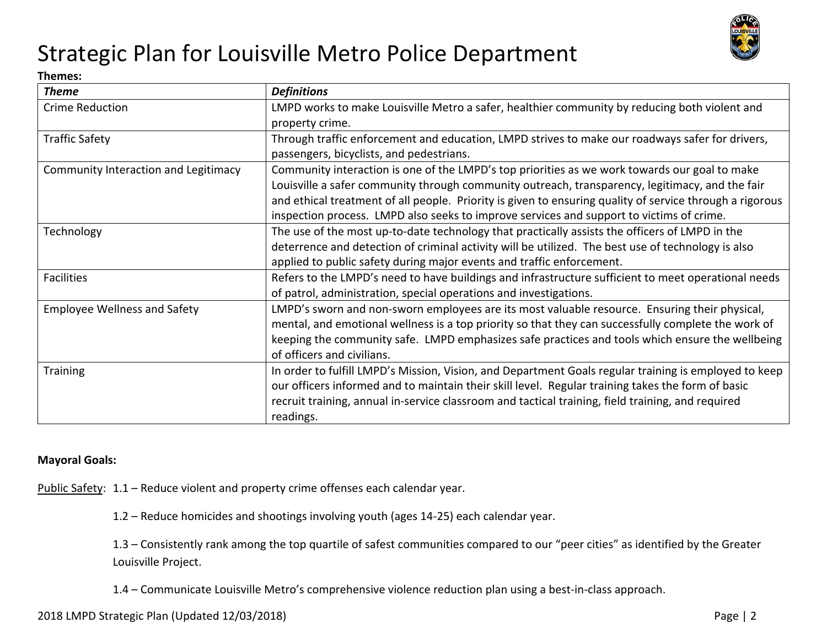

#### **Themes:**

| <b>Theme</b>                         | <b>Definitions</b>                                                                                       |
|--------------------------------------|----------------------------------------------------------------------------------------------------------|
| Crime Reduction                      | LMPD works to make Louisville Metro a safer, healthier community by reducing both violent and            |
|                                      | property crime.                                                                                          |
| <b>Traffic Safety</b>                | Through traffic enforcement and education, LMPD strives to make our roadways safer for drivers,          |
|                                      | passengers, bicyclists, and pedestrians.                                                                 |
| Community Interaction and Legitimacy | Community interaction is one of the LMPD's top priorities as we work towards our goal to make            |
|                                      | Louisville a safer community through community outreach, transparency, legitimacy, and the fair          |
|                                      | and ethical treatment of all people. Priority is given to ensuring quality of service through a rigorous |
|                                      | inspection process. LMPD also seeks to improve services and support to victims of crime.                 |
| Technology                           | The use of the most up-to-date technology that practically assists the officers of LMPD in the           |
|                                      | deterrence and detection of criminal activity will be utilized. The best use of technology is also       |
|                                      | applied to public safety during major events and traffic enforcement.                                    |
| <b>Facilities</b>                    | Refers to the LMPD's need to have buildings and infrastructure sufficient to meet operational needs      |
|                                      | of patrol, administration, special operations and investigations.                                        |
| <b>Employee Wellness and Safety</b>  | LMPD's sworn and non-sworn employees are its most valuable resource. Ensuring their physical,            |
|                                      | mental, and emotional wellness is a top priority so that they can successfully complete the work of      |
|                                      | keeping the community safe. LMPD emphasizes safe practices and tools which ensure the wellbeing          |
|                                      | of officers and civilians.                                                                               |
| <b>Training</b>                      | In order to fulfill LMPD's Mission, Vision, and Department Goals regular training is employed to keep    |
|                                      | our officers informed and to maintain their skill level. Regular training takes the form of basic        |
|                                      | recruit training, annual in-service classroom and tactical training, field training, and required        |
|                                      | readings.                                                                                                |

#### **Mayoral Goals:**

Public Safety: 1.1 – Reduce violent and property crime offenses each calendar year.

1.2 – Reduce homicides and shootings involving youth (ages 14‐25) each calendar year.

1.3 – Consistently rank among the top quartile of safest communities compared to our "peer cities" as identified by the Greater Louisville Project.

1.4 – Communicate Louisville Metro's comprehensive violence reduction plan using a best‐in‐class approach.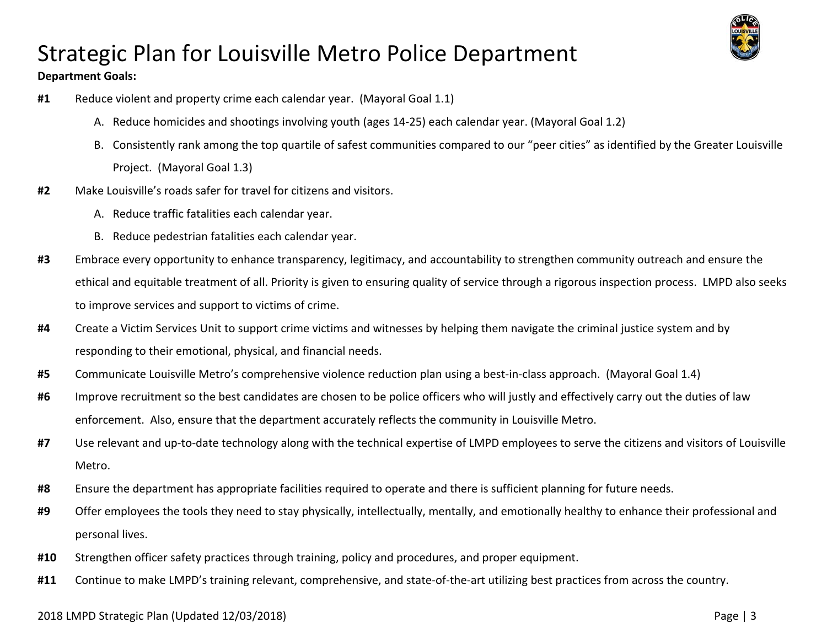#### **Department Goals:**



- **#1** Reduce violent and property crime each calendar year. (Mayoral Goal 1.1)
	- A. Reduce homicides and shootings involving youth (ages 14‐25) each calendar year. (Mayoral Goal 1.2)
	- B. Consistently rank among the top quartile of safest communities compared to our "peer cities" as identified by the Greater Louisville Project. (Mayoral Goal 1.3)
- **#2** Make Louisville's roads safer for travel for citizens and visitors.
	- A. Reduce traffic fatalities each calendar year.
	- B. Reduce pedestrian fatalities each calendar year.
- **#3** Embrace every opportunity to enhance transparency, legitimacy, and accountability to strengthen community outreach and ensure the ethical and equitable treatment of all. Priority is given to ensuring quality of service through a rigorous inspection process. LMPD also seeks to improve services and support to victims of crime.
- **#4**  Create a Victim Services Unit to support crime victims and witnesses by helping them navigate the criminal justice system and by responding to their emotional, physical, and financial needs.
- **#5** Communicate Louisville Metro's comprehensive violence reduction plan using a best‐in‐class approach. (Mayoral Goal 1.4)
- **#6** Improve recruitment so the best candidates are chosen to be police officers who will justly and effectively carry out the duties of law enforcement. Also, ensure that the department accurately reflects the community in Louisville Metro.
- #7 Use relevant and up-to-date technology along with the technical expertise of LMPD employees to serve the citizens and visitors of Louisville Metro.
- **#8** Ensure the department has appropriate facilities required to operate and there is sufficient planning for future needs.
- **#9**  Offer employees the tools they need to stay physically, intellectually, mentally, and emotionally healthy to enhance their professional and personal lives.
- **#10** Strengthen officer safety practices through training, policy and procedures, and proper equipment.
- **#11** Continue to make LMPD's training relevant, comprehensive, and state‐of‐the‐art utilizing best practices from across the country.

### 2018 LMPD Strategic Plan (Updated 12/03/2018) Page | 3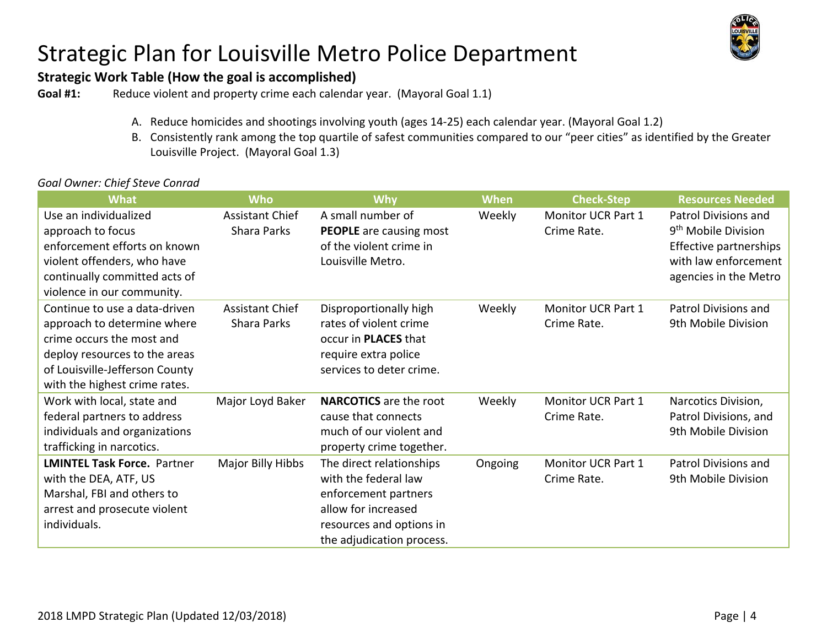

### **Strategic Work Table (How the goal is accomplished)**

**Goal #1:** Reduce violent and property crime each calendar year. (Mayoral Goal 1.1)

- A. Reduce homicides and shootings involving youth (ages 14‐25) each calendar year. (Mayoral Goal 1.2)
- B. Consistently rank among the top quartile of safest communities compared to our "peer cities" as identified by the Greater Louisville Project. (Mayoral Goal 1.3)

#### *Goal Owner: Chief Steve Conrad*

| <b>What</b>                        | <b>Who</b>             | <b>Why</b>                     | <b>When</b> | <b>Check-Step</b>  | <b>Resources Needed</b>         |
|------------------------------------|------------------------|--------------------------------|-------------|--------------------|---------------------------------|
| Use an individualized              | <b>Assistant Chief</b> | A small number of              | Weekly      | Monitor UCR Part 1 | Patrol Divisions and            |
| approach to focus                  | Shara Parks            | <b>PEOPLE</b> are causing most |             | Crime Rate.        | 9 <sup>th</sup> Mobile Division |
| enforcement efforts on known       |                        | of the violent crime in        |             |                    | Effective partnerships          |
| violent offenders, who have        |                        | Louisville Metro.              |             |                    | with law enforcement            |
| continually committed acts of      |                        |                                |             |                    | agencies in the Metro           |
| violence in our community.         |                        |                                |             |                    |                                 |
| Continue to use a data-driven      | <b>Assistant Chief</b> | Disproportionally high         | Weekly      | Monitor UCR Part 1 | Patrol Divisions and            |
| approach to determine where        | Shara Parks            | rates of violent crime         |             | Crime Rate.        | 9th Mobile Division             |
| crime occurs the most and          |                        | occur in PLACES that           |             |                    |                                 |
| deploy resources to the areas      |                        | require extra police           |             |                    |                                 |
| of Louisville-Jefferson County     |                        | services to deter crime.       |             |                    |                                 |
| with the highest crime rates.      |                        |                                |             |                    |                                 |
| Work with local, state and         | Major Loyd Baker       | <b>NARCOTICS</b> are the root  | Weekly      | Monitor UCR Part 1 | Narcotics Division,             |
| federal partners to address        |                        | cause that connects            |             | Crime Rate.        | Patrol Divisions, and           |
| individuals and organizations      |                        | much of our violent and        |             |                    | 9th Mobile Division             |
| trafficking in narcotics.          |                        | property crime together.       |             |                    |                                 |
| <b>LMINTEL Task Force. Partner</b> | Major Billy Hibbs      | The direct relationships       | Ongoing     | Monitor UCR Part 1 | Patrol Divisions and            |
| with the DEA, ATF, US              |                        | with the federal law           |             | Crime Rate.        | 9th Mobile Division             |
| Marshal, FBI and others to         |                        | enforcement partners           |             |                    |                                 |
| arrest and prosecute violent       |                        | allow for increased            |             |                    |                                 |
| individuals.                       |                        | resources and options in       |             |                    |                                 |
|                                    |                        | the adjudication process.      |             |                    |                                 |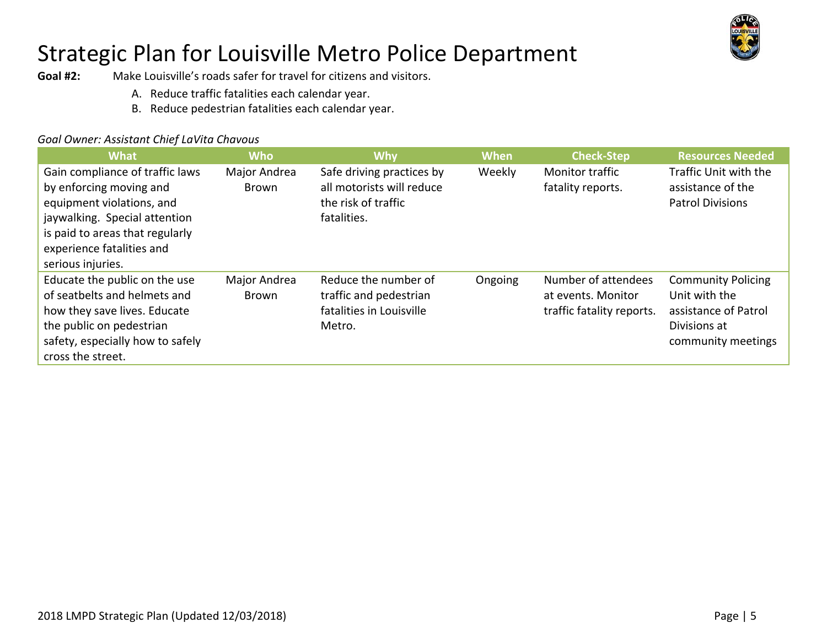

**Goal #2:** Make Louisville's roads safer for travel for citizens and visitors.

- A. Reduce traffic fatalities each calendar year.
- B. Reduce pedestrian fatalities each calendar year.

### *Goal Owner: Assistant Chief LaVita Chavous*

| <b>What</b>                                                                                                                                                                                                   | Who                          | <b>Why</b>                                                                                   | <b>When</b> | <b>Check-Step</b>                                                      | <b>Resources Needed</b>                                                                                  |
|---------------------------------------------------------------------------------------------------------------------------------------------------------------------------------------------------------------|------------------------------|----------------------------------------------------------------------------------------------|-------------|------------------------------------------------------------------------|----------------------------------------------------------------------------------------------------------|
| Gain compliance of traffic laws<br>by enforcing moving and<br>equipment violations, and<br>jaywalking. Special attention<br>is paid to areas that regularly<br>experience fatalities and<br>serious injuries. | Major Andrea<br><b>Brown</b> | Safe driving practices by<br>all motorists will reduce<br>the risk of traffic<br>fatalities. | Weekly      | <b>Monitor traffic</b><br>fatality reports.                            | Traffic Unit with the<br>assistance of the<br><b>Patrol Divisions</b>                                    |
| Educate the public on the use<br>of seatbelts and helmets and<br>how they save lives. Educate<br>the public on pedestrian<br>safety, especially how to safely<br>cross the street.                            | Major Andrea<br>Brown        | Reduce the number of<br>traffic and pedestrian<br>fatalities in Louisville<br>Metro.         | Ongoing     | Number of attendees<br>at events. Monitor<br>traffic fatality reports. | <b>Community Policing</b><br>Unit with the<br>assistance of Patrol<br>Divisions at<br>community meetings |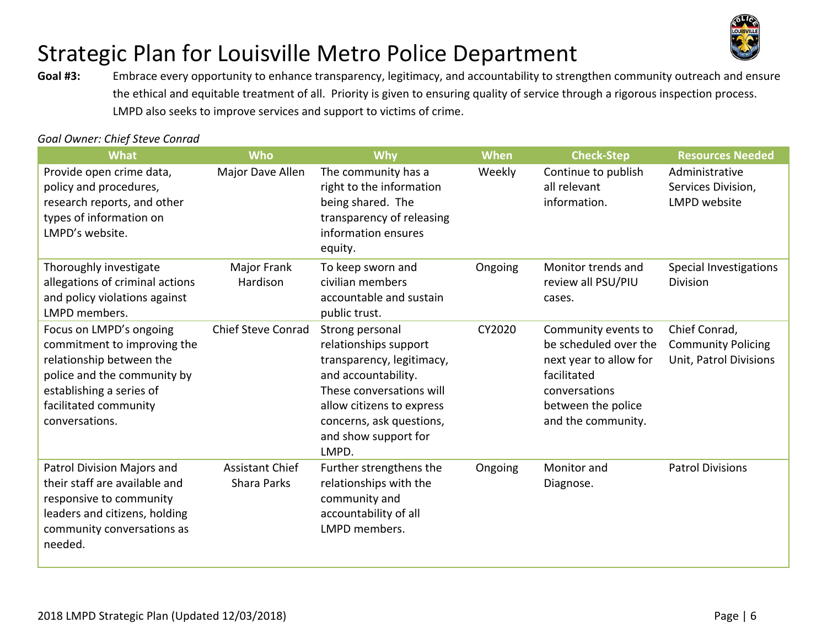

**Goal #3:**  Embrace every opportunity to enhance transparency, legitimacy, and accountability to strengthen community outreach and ensure the ethical and equitable treatment of all. Priority is given to ensuring quality of service through a rigorous inspection process. LMPD also seeks to improve services and support to victims of crime.

#### *Goal Owner: Chief Steve Conrad*

| <b>What</b>                                                                                                                                                                              | <b>Who</b>                                   | Why                                                                                                                                                                                                                | When    | <b>Check-Step</b>                                                                                                                                  | <b>Resources Needed</b>                                              |
|------------------------------------------------------------------------------------------------------------------------------------------------------------------------------------------|----------------------------------------------|--------------------------------------------------------------------------------------------------------------------------------------------------------------------------------------------------------------------|---------|----------------------------------------------------------------------------------------------------------------------------------------------------|----------------------------------------------------------------------|
| Provide open crime data,<br>policy and procedures,<br>research reports, and other<br>types of information on<br>LMPD's website.                                                          | Major Dave Allen                             | The community has a<br>right to the information<br>being shared. The<br>transparency of releasing<br>information ensures<br>equity.                                                                                | Weekly  | Continue to publish<br>all relevant<br>information.                                                                                                | Administrative<br>Services Division,<br>LMPD website                 |
| Thoroughly investigate<br>allegations of criminal actions<br>and policy violations against<br>LMPD members.                                                                              | Major Frank<br>Hardison                      | To keep sworn and<br>civilian members<br>accountable and sustain<br>public trust.                                                                                                                                  | Ongoing | Monitor trends and<br>review all PSU/PIU<br>cases.                                                                                                 | Special Investigations<br><b>Division</b>                            |
| Focus on LMPD's ongoing<br>commitment to improving the<br>relationship between the<br>police and the community by<br>establishing a series of<br>facilitated community<br>conversations. | <b>Chief Steve Conrad</b>                    | Strong personal<br>relationships support<br>transparency, legitimacy,<br>and accountability.<br>These conversations will<br>allow citizens to express<br>concerns, ask questions,<br>and show support for<br>LMPD. | CY2020  | Community events to<br>be scheduled over the<br>next year to allow for<br>facilitated<br>conversations<br>between the police<br>and the community. | Chief Conrad,<br><b>Community Policing</b><br>Unit, Patrol Divisions |
| Patrol Division Majors and<br>their staff are available and<br>responsive to community<br>leaders and citizens, holding<br>community conversations as<br>needed.                         | <b>Assistant Chief</b><br><b>Shara Parks</b> | Further strengthens the<br>relationships with the<br>community and<br>accountability of all<br>LMPD members.                                                                                                       | Ongoing | Monitor and<br>Diagnose.                                                                                                                           | <b>Patrol Divisions</b>                                              |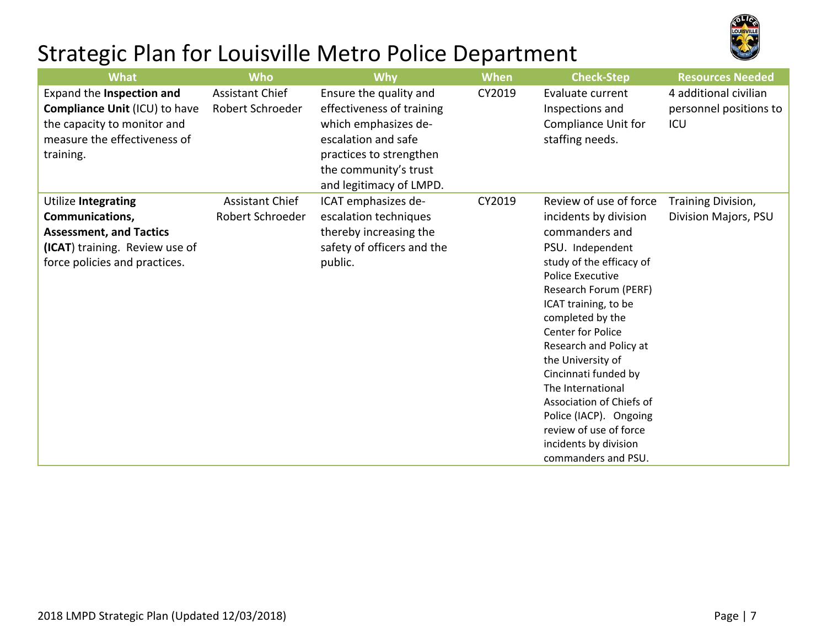

| <b>What</b>                                                                                                                                               | <b>Who</b>                                 | <b>Why</b>                                                                                                                                                                        | <b>When</b> | <b>Check-Step</b>                                                                                                                                                                                                                                                                                                                                                                                                                                                         | <b>Resources Needed</b>                                |
|-----------------------------------------------------------------------------------------------------------------------------------------------------------|--------------------------------------------|-----------------------------------------------------------------------------------------------------------------------------------------------------------------------------------|-------------|---------------------------------------------------------------------------------------------------------------------------------------------------------------------------------------------------------------------------------------------------------------------------------------------------------------------------------------------------------------------------------------------------------------------------------------------------------------------------|--------------------------------------------------------|
| Expand the Inspection and<br><b>Compliance Unit (ICU) to have</b><br>the capacity to monitor and<br>measure the effectiveness of<br>training.             | <b>Assistant Chief</b><br>Robert Schroeder | Ensure the quality and<br>effectiveness of training<br>which emphasizes de-<br>escalation and safe<br>practices to strengthen<br>the community's trust<br>and legitimacy of LMPD. | CY2019      | Evaluate current<br>Inspections and<br>Compliance Unit for<br>staffing needs.                                                                                                                                                                                                                                                                                                                                                                                             | 4 additional civilian<br>personnel positions to<br>ICU |
| <b>Utilize Integrating</b><br><b>Communications,</b><br><b>Assessment, and Tactics</b><br>(ICAT) training. Review use of<br>force policies and practices. | <b>Assistant Chief</b><br>Robert Schroeder | ICAT emphasizes de-<br>escalation techniques<br>thereby increasing the<br>safety of officers and the<br>public.                                                                   | CY2019      | Review of use of force<br>incidents by division<br>commanders and<br>PSU. Independent<br>study of the efficacy of<br><b>Police Executive</b><br>Research Forum (PERF)<br>ICAT training, to be<br>completed by the<br><b>Center for Police</b><br>Research and Policy at<br>the University of<br>Cincinnati funded by<br>The International<br>Association of Chiefs of<br>Police (IACP). Ongoing<br>review of use of force<br>incidents by division<br>commanders and PSU. | Training Division,<br>Division Majors, PSU             |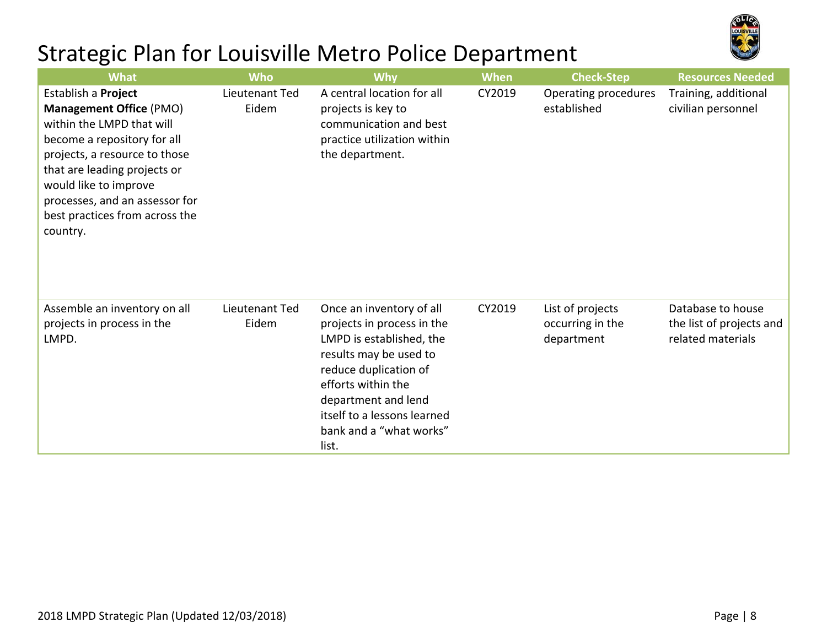

| <b>What</b>                                                                                                                                                                                                                                                                                 | <b>Who</b>              | <b>Why</b>                                                                                                                                                                                                                                            | <b>When</b> | <b>Check-Step</b>                                  | <b>Resources Needed</b>                                            |
|---------------------------------------------------------------------------------------------------------------------------------------------------------------------------------------------------------------------------------------------------------------------------------------------|-------------------------|-------------------------------------------------------------------------------------------------------------------------------------------------------------------------------------------------------------------------------------------------------|-------------|----------------------------------------------------|--------------------------------------------------------------------|
| Establish a Project<br><b>Management Office (PMO)</b><br>within the LMPD that will<br>become a repository for all<br>projects, a resource to those<br>that are leading projects or<br>would like to improve<br>processes, and an assessor for<br>best practices from across the<br>country. | Lieutenant Ted<br>Eidem | A central location for all<br>projects is key to<br>communication and best<br>practice utilization within<br>the department.                                                                                                                          | CY2019      | Operating procedures<br>established                | Training, additional<br>civilian personnel                         |
| Assemble an inventory on all<br>projects in process in the<br>LMPD.                                                                                                                                                                                                                         | Lieutenant Ted<br>Eidem | Once an inventory of all<br>projects in process in the<br>LMPD is established, the<br>results may be used to<br>reduce duplication of<br>efforts within the<br>department and lend<br>itself to a lessons learned<br>bank and a "what works"<br>list. | CY2019      | List of projects<br>occurring in the<br>department | Database to house<br>the list of projects and<br>related materials |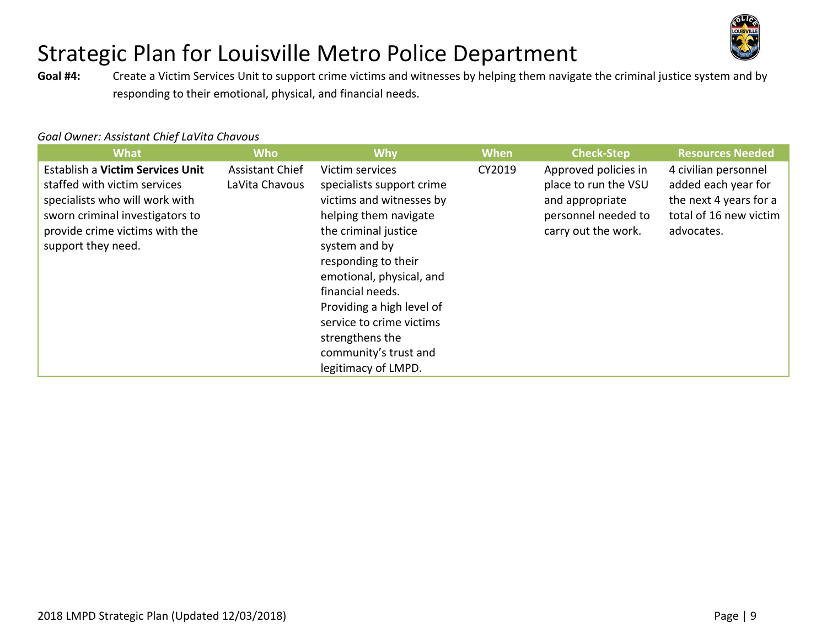

**Goal #4:**  Create a Victim Services Unit to support crime victims and witnesses by helping them navigate the criminal justice system and by responding to their emotional, physical, and financial needs.

#### *Goal Owner: Assistant Chief LaVita Chavous*

| <b>What</b>                                                                                                                                                                                   | <b>Who</b>                               | <b>Why</b>                                                                                                                                                                                                                                                                                                                                    | <b>When</b> | <b>Check-Step</b>                                                                                             | <b>Resources Needed</b>                                                                                       |
|-----------------------------------------------------------------------------------------------------------------------------------------------------------------------------------------------|------------------------------------------|-----------------------------------------------------------------------------------------------------------------------------------------------------------------------------------------------------------------------------------------------------------------------------------------------------------------------------------------------|-------------|---------------------------------------------------------------------------------------------------------------|---------------------------------------------------------------------------------------------------------------|
| Establish a Victim Services Unit<br>staffed with victim services<br>specialists who will work with<br>sworn criminal investigators to<br>provide crime victims with the<br>support they need. | <b>Assistant Chief</b><br>LaVita Chavous | Victim services<br>specialists support crime<br>victims and witnesses by<br>helping them navigate<br>the criminal justice<br>system and by<br>responding to their<br>emotional, physical, and<br>financial needs.<br>Providing a high level of<br>service to crime victims<br>strengthens the<br>community's trust and<br>legitimacy of LMPD. | CY2019      | Approved policies in<br>place to run the VSU<br>and appropriate<br>personnel needed to<br>carry out the work. | 4 civilian personnel<br>added each year for<br>the next 4 years for a<br>total of 16 new victim<br>advocates. |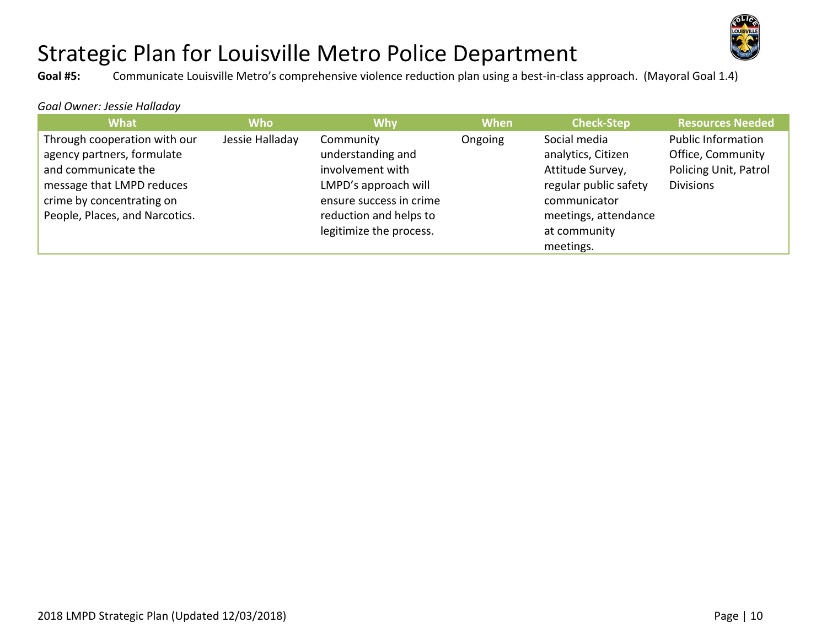

**Goal #5:** Communicate Louisville Metro's comprehensive violence reduction plan using a best‐in‐class approach. (Mayoral Goal 1.4)

#### *Goal Owner: Jessie Halladay*

| <b>What</b>                                                                                                                                 | <b>Who</b>      | <b>Why</b>                                                                                            | <b>When</b> | <b>Check-Step</b>                                                                               | <b>Resources Needed</b>                                                                     |
|---------------------------------------------------------------------------------------------------------------------------------------------|-----------------|-------------------------------------------------------------------------------------------------------|-------------|-------------------------------------------------------------------------------------------------|---------------------------------------------------------------------------------------------|
| Through cooperation with our<br>agency partners, formulate<br>and communicate the<br>message that LMPD reduces<br>crime by concentrating on | Jessie Halladay | Community<br>understanding and<br>involvement with<br>LMPD's approach will<br>ensure success in crime | Ongoing     | Social media<br>analytics, Citizen<br>Attitude Survey,<br>regular public safety<br>communicator | <b>Public Information</b><br>Office, Community<br>Policing Unit, Patrol<br><b>Divisions</b> |
| People, Places, and Narcotics.                                                                                                              |                 | reduction and helps to<br>legitimize the process.                                                     |             | meetings, attendance<br>at community<br>meetings.                                               |                                                                                             |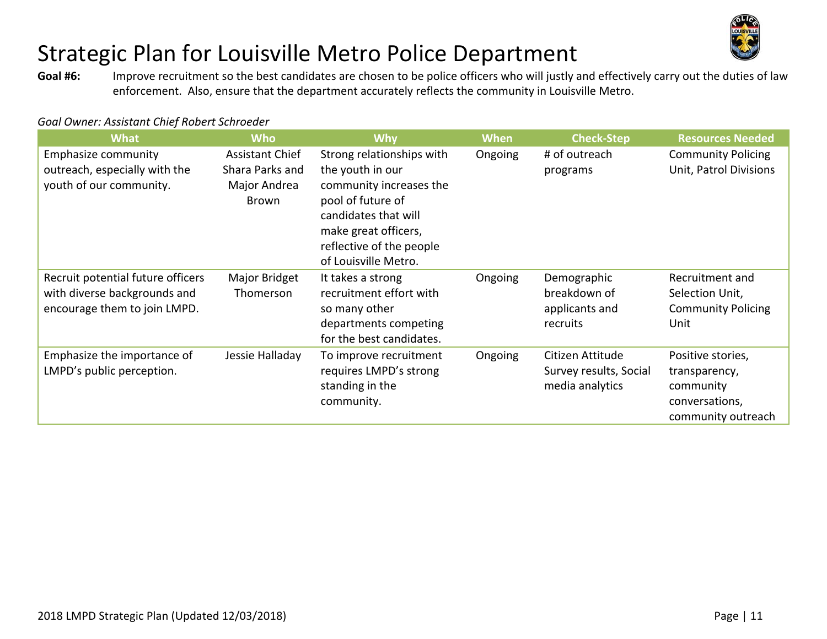

**Goal #6:**  Improve recruitment so the best candidates are chosen to be police officers who will justly and effectively carry out the duties of law enforcement. Also, ensure that the department accurately reflects the community in Louisville Metro.

| <b>What</b>                                                                                       | <b>Who</b>                                                         | <b>Why</b>                                                                                                                                                                                        | <b>When</b> | <b>Check-Step</b>                                             | <b>Resources Needed</b>                                                                 |
|---------------------------------------------------------------------------------------------------|--------------------------------------------------------------------|---------------------------------------------------------------------------------------------------------------------------------------------------------------------------------------------------|-------------|---------------------------------------------------------------|-----------------------------------------------------------------------------------------|
| <b>Emphasize community</b><br>outreach, especially with the<br>youth of our community.            | <b>Assistant Chief</b><br>Shara Parks and<br>Major Andrea<br>Brown | Strong relationships with<br>the youth in our<br>community increases the<br>pool of future of<br>candidates that will<br>make great officers,<br>reflective of the people<br>of Louisville Metro. | Ongoing     | # of outreach<br>programs                                     | <b>Community Policing</b><br>Unit, Patrol Divisions                                     |
| Recruit potential future officers<br>with diverse backgrounds and<br>encourage them to join LMPD. | Major Bridget<br>Thomerson                                         | It takes a strong<br>recruitment effort with<br>so many other<br>departments competing<br>for the best candidates.                                                                                | Ongoing     | Demographic<br>breakdown of<br>applicants and<br>recruits     | Recruitment and<br>Selection Unit,<br><b>Community Policing</b><br>Unit                 |
| Emphasize the importance of<br>LMPD's public perception.                                          | Jessie Halladay                                                    | To improve recruitment<br>requires LMPD's strong<br>standing in the<br>community.                                                                                                                 | Ongoing     | Citizen Attitude<br>Survey results, Social<br>media analytics | Positive stories,<br>transparency,<br>community<br>conversations,<br>community outreach |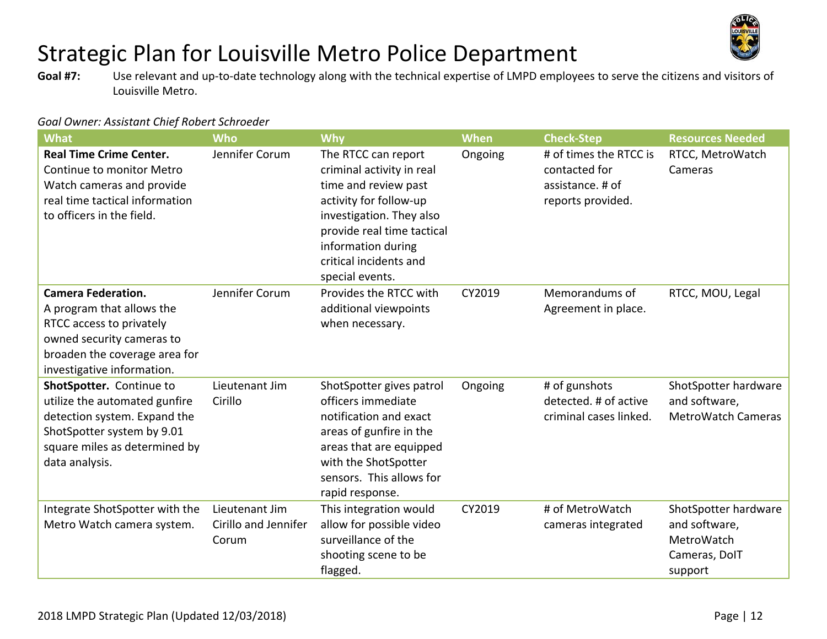

**Goal #7:**  Use relevant and up‐to‐date technology along with the technical expertise of LMPD employees to serve the citizens and visitors of Louisville Metro.

| <b>What</b>                                                                                                                                                                    | Who                                             | Why                                                                                                                                                                                                                             | <b>When</b> | <b>Check-Step</b>                                                                | <b>Resources Needed</b>                                                         |
|--------------------------------------------------------------------------------------------------------------------------------------------------------------------------------|-------------------------------------------------|---------------------------------------------------------------------------------------------------------------------------------------------------------------------------------------------------------------------------------|-------------|----------------------------------------------------------------------------------|---------------------------------------------------------------------------------|
| <b>Real Time Crime Center.</b><br>Continue to monitor Metro<br>Watch cameras and provide<br>real time tactical information<br>to officers in the field.                        | Jennifer Corum                                  | The RTCC can report<br>criminal activity in real<br>time and review past<br>activity for follow-up<br>investigation. They also<br>provide real time tactical<br>information during<br>critical incidents and<br>special events. | Ongoing     | # of times the RTCC is<br>contacted for<br>assistance. # of<br>reports provided. | RTCC, MetroWatch<br>Cameras                                                     |
| <b>Camera Federation.</b><br>A program that allows the<br>RTCC access to privately<br>owned security cameras to<br>broaden the coverage area for<br>investigative information. | Jennifer Corum                                  | Provides the RTCC with<br>additional viewpoints<br>when necessary.                                                                                                                                                              | CY2019      | Memorandums of<br>Agreement in place.                                            | RTCC, MOU, Legal                                                                |
| ShotSpotter. Continue to<br>utilize the automated gunfire<br>detection system. Expand the<br>ShotSpotter system by 9.01<br>square miles as determined by<br>data analysis.     | Lieutenant Jim<br>Cirillo                       | ShotSpotter gives patrol<br>officers immediate<br>notification and exact<br>areas of gunfire in the<br>areas that are equipped<br>with the ShotSpotter<br>sensors. This allows for<br>rapid response.                           | Ongoing     | # of gunshots<br>detected. # of active<br>criminal cases linked.                 | ShotSpotter hardware<br>and software,<br><b>MetroWatch Cameras</b>              |
| Integrate ShotSpotter with the<br>Metro Watch camera system.                                                                                                                   | Lieutenant Jim<br>Cirillo and Jennifer<br>Corum | This integration would<br>allow for possible video<br>surveillance of the<br>shooting scene to be<br>flagged.                                                                                                                   | CY2019      | # of MetroWatch<br>cameras integrated                                            | ShotSpotter hardware<br>and software,<br>MetroWatch<br>Cameras, DolT<br>support |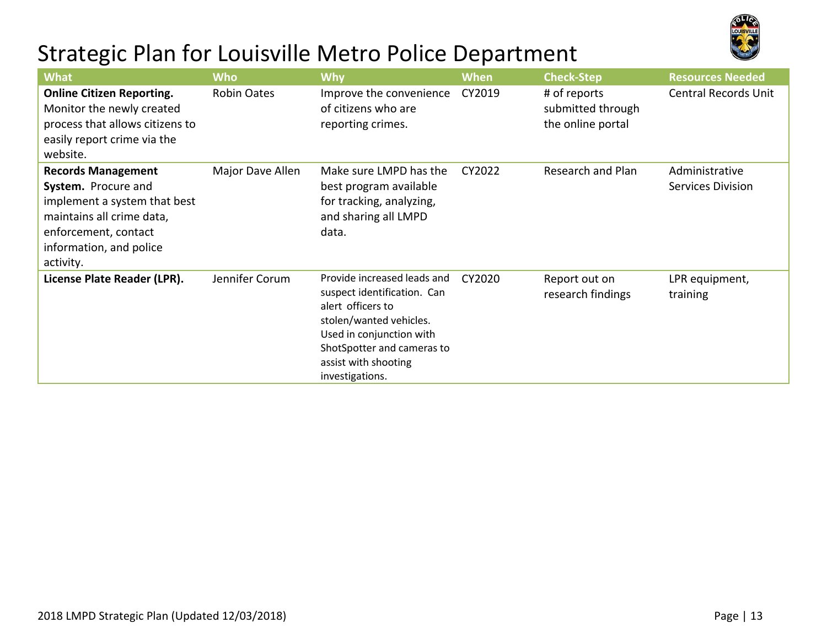

| <b>What</b>                                                                                                                                                                   | <b>Who</b>         | <b>Why</b>                                                                                                                                                                                                      | <b>When</b> | <b>Check-Step</b>                                      | <b>Resources Needed</b>                    |
|-------------------------------------------------------------------------------------------------------------------------------------------------------------------------------|--------------------|-----------------------------------------------------------------------------------------------------------------------------------------------------------------------------------------------------------------|-------------|--------------------------------------------------------|--------------------------------------------|
| <b>Online Citizen Reporting.</b><br>Monitor the newly created<br>process that allows citizens to<br>easily report crime via the<br>website.                                   | <b>Robin Oates</b> | Improve the convenience<br>of citizens who are<br>reporting crimes.                                                                                                                                             | CY2019      | # of reports<br>submitted through<br>the online portal | <b>Central Records Unit</b>                |
| <b>Records Management</b><br>System. Procure and<br>implement a system that best<br>maintains all crime data,<br>enforcement, contact<br>information, and police<br>activity. | Major Dave Allen   | Make sure LMPD has the<br>best program available<br>for tracking, analyzing,<br>and sharing all LMPD<br>data.                                                                                                   | CY2022      | Research and Plan                                      | Administrative<br><b>Services Division</b> |
| License Plate Reader (LPR).                                                                                                                                                   | Jennifer Corum     | Provide increased leads and<br>suspect identification. Can<br>alert officers to<br>stolen/wanted vehicles.<br>Used in conjunction with<br>ShotSpotter and cameras to<br>assist with shooting<br>investigations. | CY2020      | Report out on<br>research findings                     | LPR equipment,<br>training                 |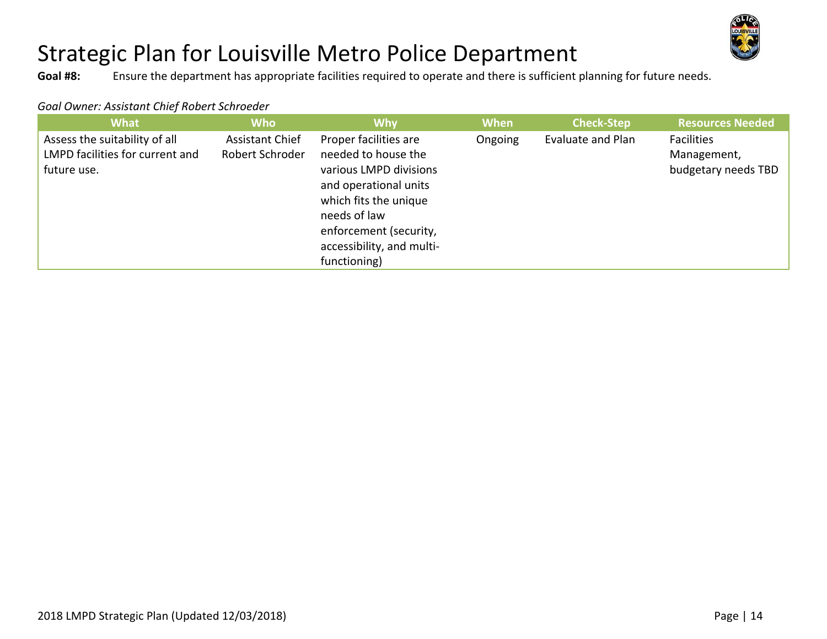

**Goal #8:** Ensure the department has appropriate facilities required to operate and there is sufficient planning for future needs.

| <b>What</b>                                                                     | <b>Who</b>                                | Why                                                                                                                                                                                                             | <b>When</b> | <b>Check-Step</b> | <b>Resources Needed</b>                                 |
|---------------------------------------------------------------------------------|-------------------------------------------|-----------------------------------------------------------------------------------------------------------------------------------------------------------------------------------------------------------------|-------------|-------------------|---------------------------------------------------------|
| Assess the suitability of all<br>LMPD facilities for current and<br>future use. | <b>Assistant Chief</b><br>Robert Schroder | Proper facilities are<br>needed to house the<br>various LMPD divisions<br>and operational units<br>which fits the unique<br>needs of law<br>enforcement (security,<br>accessibility, and multi-<br>functioning) | Ongoing     | Evaluate and Plan | <b>Facilities</b><br>Management,<br>budgetary needs TBD |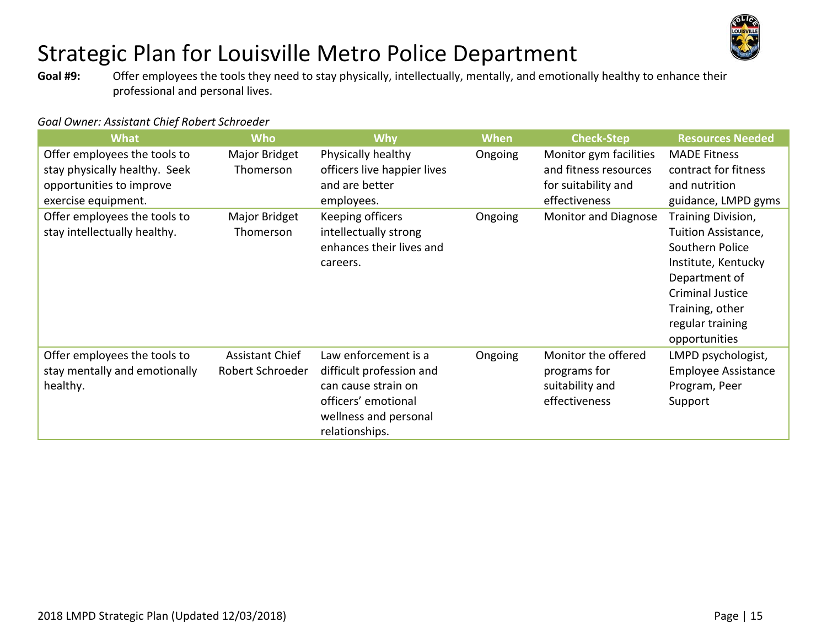

**Goal #9:**  Offer employees the tools they need to stay physically, intellectually, mentally, and emotionally healthy to enhance their professional and personal lives.

| <b>What</b>                   | <b>Who</b>             | <b>Why</b>                  | <b>When</b> | <b>Check-Step</b>           | <b>Resources Needed</b>    |
|-------------------------------|------------------------|-----------------------------|-------------|-----------------------------|----------------------------|
| Offer employees the tools to  | Major Bridget          | Physically healthy          | Ongoing     | Monitor gym facilities      | <b>MADE Fitness</b>        |
| stay physically healthy. Seek | Thomerson              | officers live happier lives |             | and fitness resources       | contract for fitness       |
| opportunities to improve      |                        | and are better              |             | for suitability and         | and nutrition              |
| exercise equipment.           |                        | employees.                  |             | effectiveness               | guidance, LMPD gyms        |
| Offer employees the tools to  | Major Bridget          | Keeping officers            | Ongoing     | <b>Monitor and Diagnose</b> | Training Division,         |
| stay intellectually healthy.  | Thomerson              | intellectually strong       |             |                             | Tuition Assistance,        |
|                               |                        | enhances their lives and    |             |                             | Southern Police            |
|                               |                        | careers.                    |             |                             | Institute, Kentucky        |
|                               |                        |                             |             |                             | Department of              |
|                               |                        |                             |             |                             | <b>Criminal Justice</b>    |
|                               |                        |                             |             |                             | Training, other            |
|                               |                        |                             |             |                             | regular training           |
|                               |                        |                             |             |                             | opportunities              |
| Offer employees the tools to  | <b>Assistant Chief</b> | Law enforcement is a        | Ongoing     | Monitor the offered         | LMPD psychologist,         |
| stay mentally and emotionally | Robert Schroeder       | difficult profession and    |             | programs for                | <b>Employee Assistance</b> |
| healthy.                      |                        | can cause strain on         |             | suitability and             | Program, Peer              |
|                               |                        | officers' emotional         |             | effectiveness               | Support                    |
|                               |                        | wellness and personal       |             |                             |                            |
|                               |                        | relationships.              |             |                             |                            |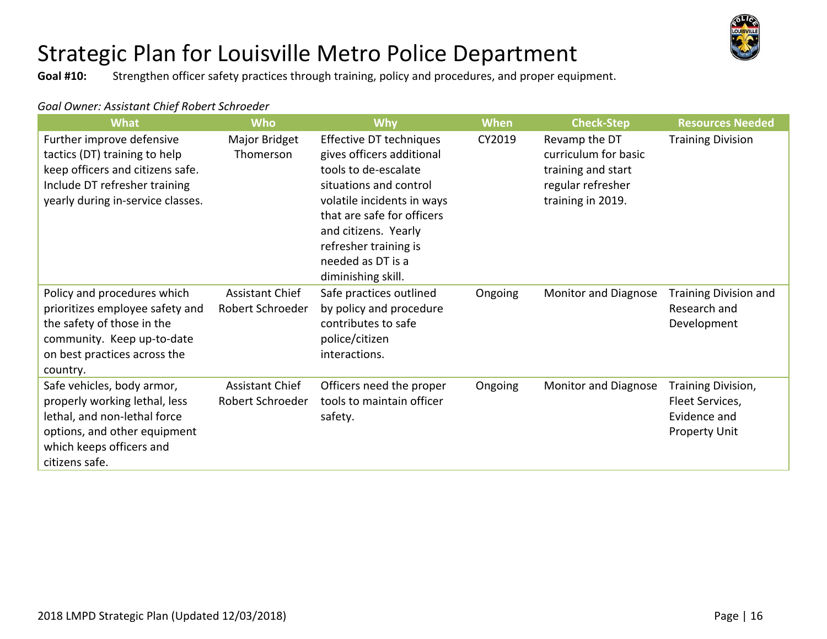

**Goal #10:** Strengthen officer safety practices through training, policy and procedures, and proper equipment.

| Goal Owner: Assistant Chief Robert Schroeder |
|----------------------------------------------|
|----------------------------------------------|

| <b>What</b>                                                                                                                                                               | <b>Who</b>                                 | <b>Why</b>                                                                                                                                                                                                                                                     | <b>When</b> | <b>Check-Step</b>                                                                                     | <b>Resources Needed</b>                                                       |
|---------------------------------------------------------------------------------------------------------------------------------------------------------------------------|--------------------------------------------|----------------------------------------------------------------------------------------------------------------------------------------------------------------------------------------------------------------------------------------------------------------|-------------|-------------------------------------------------------------------------------------------------------|-------------------------------------------------------------------------------|
| Further improve defensive<br>tactics (DT) training to help<br>keep officers and citizens safe.<br>Include DT refresher training<br>yearly during in-service classes.      | Major Bridget<br>Thomerson                 | Effective DT techniques<br>gives officers additional<br>tools to de-escalate<br>situations and control<br>volatile incidents in ways<br>that are safe for officers<br>and citizens. Yearly<br>refresher training is<br>needed as DT is a<br>diminishing skill. | CY2019      | Revamp the DT<br>curriculum for basic<br>training and start<br>regular refresher<br>training in 2019. | <b>Training Division</b>                                                      |
| Policy and procedures which<br>prioritizes employee safety and<br>the safety of those in the<br>community. Keep up-to-date<br>on best practices across the<br>country.    | <b>Assistant Chief</b><br>Robert Schroeder | Safe practices outlined<br>by policy and procedure<br>contributes to safe<br>police/citizen<br>interactions.                                                                                                                                                   | Ongoing     | <b>Monitor and Diagnose</b>                                                                           | <b>Training Division and</b><br>Research and<br>Development                   |
| Safe vehicles, body armor,<br>properly working lethal, less<br>lethal, and non-lethal force<br>options, and other equipment<br>which keeps officers and<br>citizens safe. | <b>Assistant Chief</b><br>Robert Schroeder | Officers need the proper<br>tools to maintain officer<br>safety.                                                                                                                                                                                               | Ongoing     | <b>Monitor and Diagnose</b>                                                                           | Training Division,<br>Fleet Services,<br>Evidence and<br><b>Property Unit</b> |